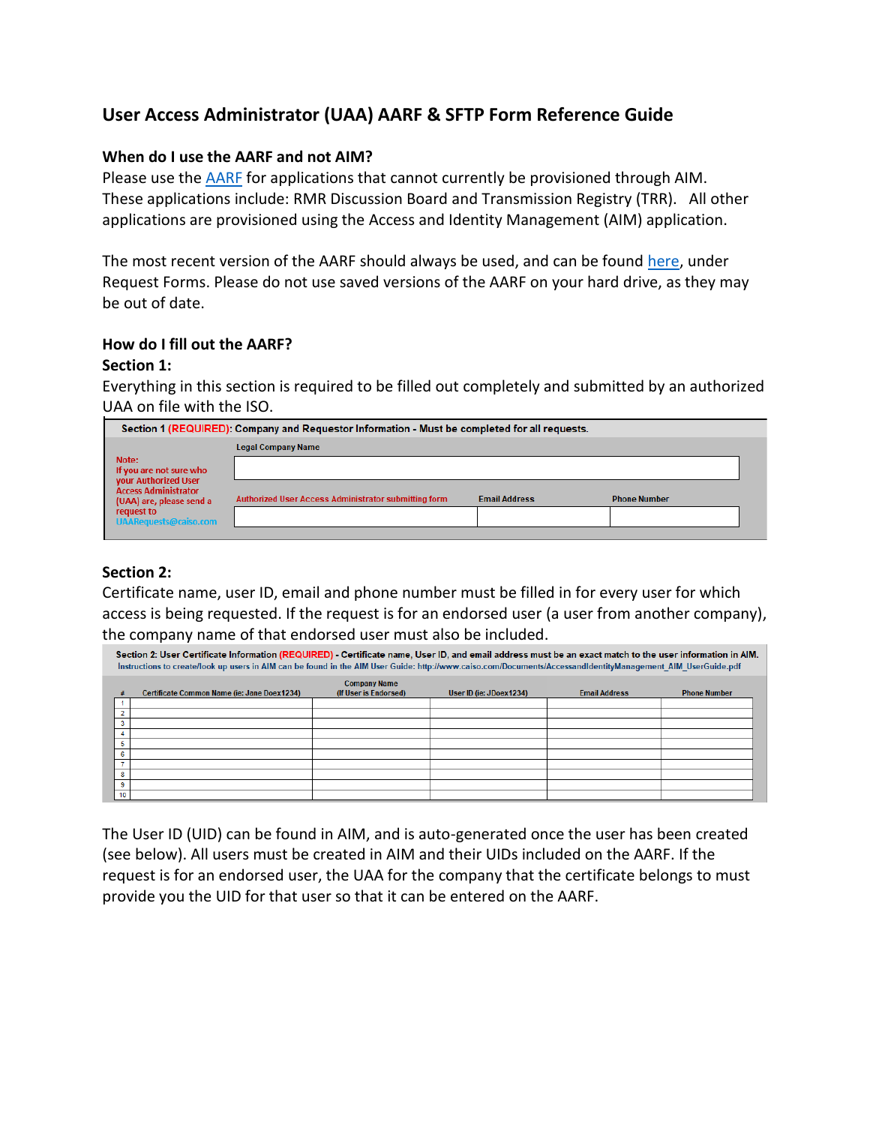## **User Access Administrator (UAA) AARF & SFTP Form Reference Guide**

## **When do I use the AARF and not AIM?**

Please use th[e AARF](http://www.caiso.com/Documents/ApplicationAccessRequestForm.xls) for applications that cannot currently be provisioned through AIM. These applications include: RMR Discussion Board and Transmission Registry (TRR). All other applications are provisioned using the Access and Identity Management (AIM) application.

The most recent version of the AARF should always be used, and can be foun[d here,](http://www.caiso.com/Documents/ApplicationAccessRequestForm.xls) under Request Forms. Please do not use saved versions of the AARF on your hard drive, as they may be out of date.

## **How do I fill out the AARF?**

### **Section 1:**

Everything in this section is required to be filled out completely and submitted by an authorized UAA on file with the ISO.

| Section 1 (REQUIRED): Company and Requestor Information - Must be completed for all requests.                                                                     |                                                      |                      |                     |  |
|-------------------------------------------------------------------------------------------------------------------------------------------------------------------|------------------------------------------------------|----------------------|---------------------|--|
|                                                                                                                                                                   | <b>Legal Company Name</b>                            |                      |                     |  |
| Note:<br>If you are not sure who<br>your Authorized User<br><b>Access Administrator</b><br>(UAA) are, please send a<br>request to<br><b>UAARequests@caiso.com</b> |                                                      |                      |                     |  |
|                                                                                                                                                                   | Authorized User Access Administrator submitting form | <b>Email Address</b> | <b>Phone Number</b> |  |

## **Section 2:**

Certificate name, user ID, email and phone number must be filled in for every user for which access is being requested. If the request is for an endorsed user (a user from another company), the company name of that endorsed user must also be included.

| Section 2: User Certificate Information (REQUIRED) - Certificate name, User ID, and email address must be an exact match to the user information in AIM.<br>Instructions to create/look up users in AIM can be found in the AIM User Guide: http://www.caiso.com/Documents/AccessandIdentityManagement AIM UserGuide.pdf |                                             |                                              |                         |                      |                     |
|--------------------------------------------------------------------------------------------------------------------------------------------------------------------------------------------------------------------------------------------------------------------------------------------------------------------------|---------------------------------------------|----------------------------------------------|-------------------------|----------------------|---------------------|
|                                                                                                                                                                                                                                                                                                                          | Certificate Common Name (ie: Jane Doex1234) | <b>Company Name</b><br>(If User is Endorsed) | User ID (ie: JDoex1234) | <b>Email Address</b> | <b>Phone Number</b> |
|                                                                                                                                                                                                                                                                                                                          |                                             |                                              |                         |                      |                     |
| $\overline{ }$                                                                                                                                                                                                                                                                                                           |                                             |                                              |                         |                      |                     |
| 3                                                                                                                                                                                                                                                                                                                        |                                             |                                              |                         |                      |                     |
|                                                                                                                                                                                                                                                                                                                          |                                             |                                              |                         |                      |                     |
|                                                                                                                                                                                                                                                                                                                          |                                             |                                              |                         |                      |                     |
| 6                                                                                                                                                                                                                                                                                                                        |                                             |                                              |                         |                      |                     |
|                                                                                                                                                                                                                                                                                                                          |                                             |                                              |                         |                      |                     |
| 8                                                                                                                                                                                                                                                                                                                        |                                             |                                              |                         |                      |                     |
| 9                                                                                                                                                                                                                                                                                                                        |                                             |                                              |                         |                      |                     |
| 10                                                                                                                                                                                                                                                                                                                       |                                             |                                              |                         |                      |                     |

The User ID (UID) can be found in AIM, and is auto-generated once the user has been created (see below). All users must be created in AIM and their UIDs included on the AARF. If the request is for an endorsed user, the UAA for the company that the certificate belongs to must provide you the UID for that user so that it can be entered on the AARF.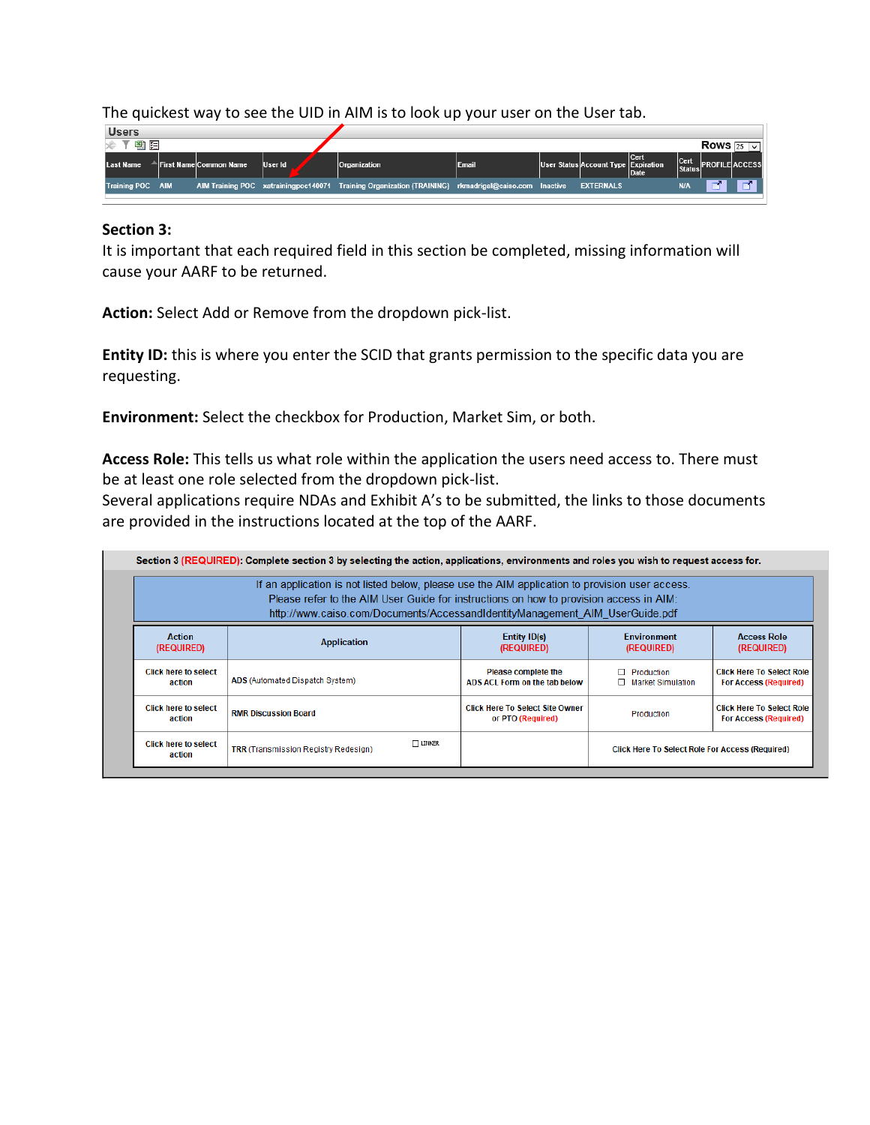The quickest way to see the UID in AIM is to look up your user on the User tab.



#### **Section 3:**

It is important that each required field in this section be completed, missing information will cause your AARF to be returned.

**Action:** Select Add or Remove from the dropdown pick-list.

**Entity ID:** this is where you enter the SCID that grants permission to the specific data you are requesting.

**Environment:** Select the checkbox for Production, Market Sim, or both.

**Access Role:** This tells us what role within the application the users need access to. There must be at least one role selected from the dropdown pick-list.

Several applications require NDAs and Exhibit A's to be submitted, the links to those documents are provided in the instructions located at the top of the AARF.

| If an application is not listed below, please use the AIM application to provision user access.<br>Please refer to the AIM User Guide for instructions on how to provision access in AIM:<br>http://www.caiso.com/Documents/AccessandIdentityManagement AIM UserGuide.pdf |                                                       |                                                             |                                                        |                                                                  |
|---------------------------------------------------------------------------------------------------------------------------------------------------------------------------------------------------------------------------------------------------------------------------|-------------------------------------------------------|-------------------------------------------------------------|--------------------------------------------------------|------------------------------------------------------------------|
| <b>Action</b><br>(REQUIRED)                                                                                                                                                                                                                                               | <b>Application</b>                                    | Entity ID(s)<br>(REQUIRED)                                  | <b>Environment</b><br>(REQUIRED)                       | <b>Access Role</b><br>(REQUIRED)                                 |
| <b>Click here to select</b><br>action                                                                                                                                                                                                                                     | ADS (Automated Dispatch System)                       | <b>Please complete the</b><br>ADS ACL Form on the tab below | $\Box$ Production<br>□ Market Simulation               | <b>Click Here To Select Role</b><br><b>For Access (Required)</b> |
| <b>Click here to select</b><br>action                                                                                                                                                                                                                                     | <b>RMR Discussion Board</b>                           | <b>Click Here To Select Site Owner</b><br>or PTO (Required) | Production                                             | <b>Click Here To Select Role</b><br><b>For Access (Required)</b> |
| <b>Click here to select</b><br>action                                                                                                                                                                                                                                     | $\Box$ LINKER<br>TRR (Transmission Registry Redesign) |                                                             | <b>Click Here To Select Role For Access (Required)</b> |                                                                  |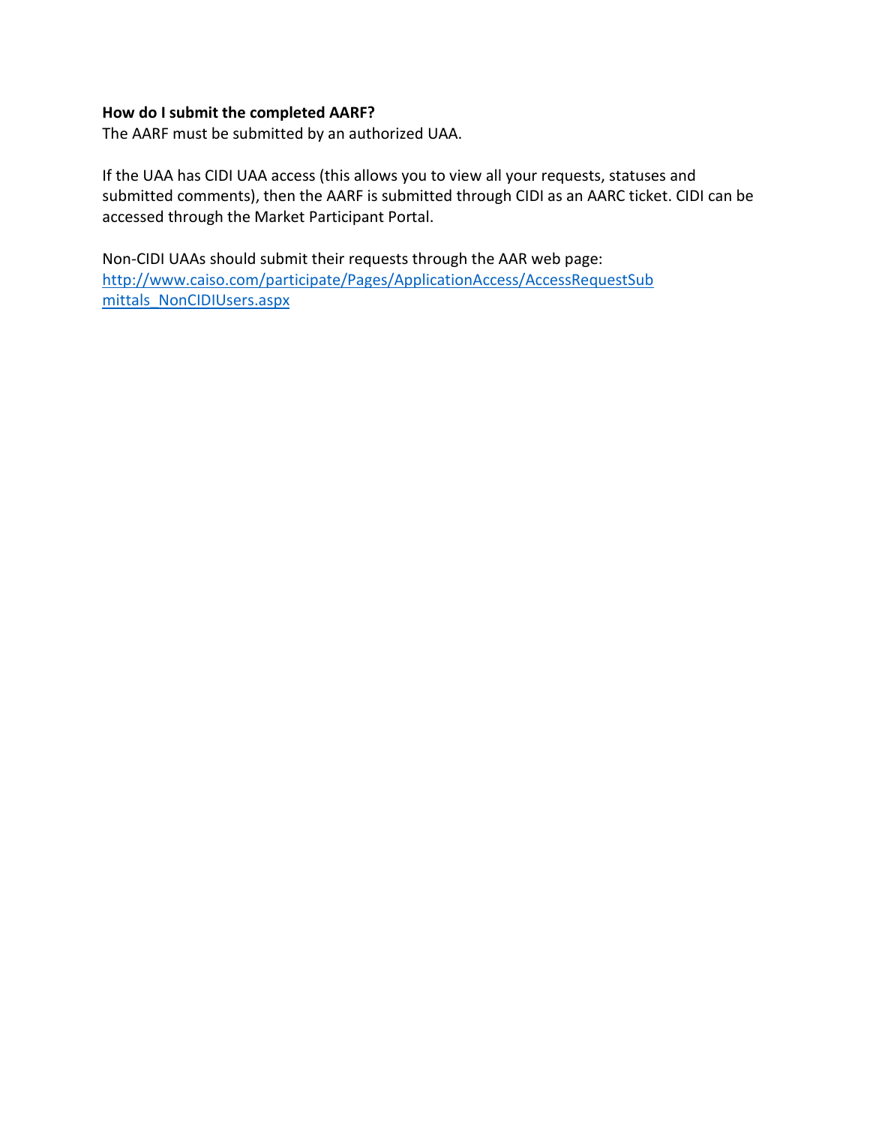## **How do I submit the completed AARF?**

The AARF must be submitted by an authorized UAA.

If the UAA has CIDI UAA access (this allows you to view all your requests, statuses and submitted comments), then the AARF is submitted through CIDI as an AARC ticket. CIDI can be accessed through the Market Participant Portal.

Non-CIDI UAAs should submit their requests through the AAR web page: [http://www.caiso.com/participate/Pages/ApplicationAccess/AccessRequestSub](http://www.caiso.com/participate/Pages/ApplicationAccess/AccessRequestSub%20mittals_NonCIDIUsers.aspx)  [mittals\\_NonCIDIUsers.aspx](http://www.caiso.com/participate/Pages/ApplicationAccess/AccessRequestSub%20mittals_NonCIDIUsers.aspx)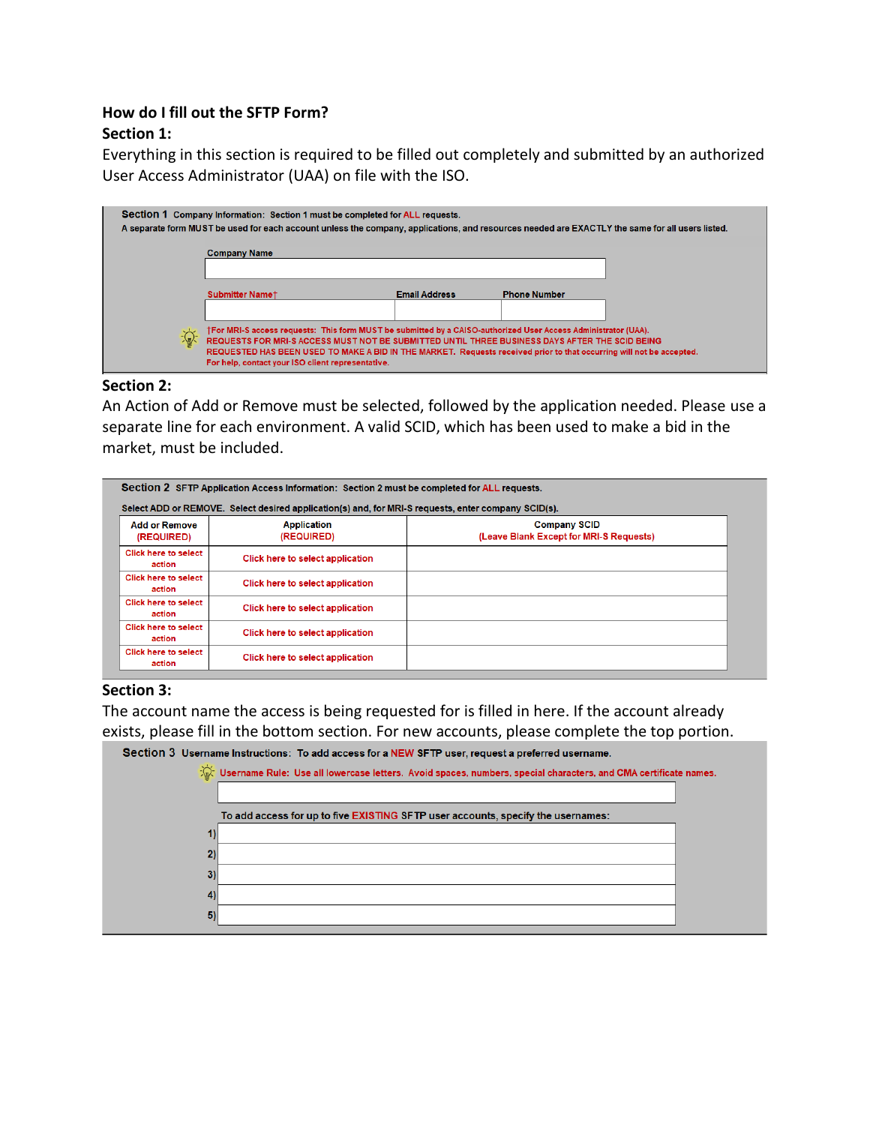# **How do I fill out the SFTP Form?**

## **Section 1:**

Everything in this section is required to be filled out completely and submitted by an authorized User Access Administrator (UAA) on file with the ISO.

|   | Section 1 Company Information: Section 1 must be completed for ALL requests.<br>A separate form MUST be used for each account unless the company, applications, and resources needed are EXACTLY the same for all users listed. |                                                                                                                                                                                                                                                                                                                                          |                     |  |
|---|---------------------------------------------------------------------------------------------------------------------------------------------------------------------------------------------------------------------------------|------------------------------------------------------------------------------------------------------------------------------------------------------------------------------------------------------------------------------------------------------------------------------------------------------------------------------------------|---------------------|--|
|   | <b>Company Name</b>                                                                                                                                                                                                             |                                                                                                                                                                                                                                                                                                                                          |                     |  |
|   | <b>Submitter Namet</b>                                                                                                                                                                                                          | <b>Email Address</b>                                                                                                                                                                                                                                                                                                                     | <b>Phone Number</b> |  |
| 宓 | For help, contact your ISO client representative.                                                                                                                                                                               | †For MRI-S access requests: This form MUST be submitted by a CAISO-authorized User Access Administrator (UAA).<br>REQUESTS FOR MRI-S ACCESS MUST NOT BE SUBMITTED UNTIL THREE BUSINESS DAYS AFTER THE SCID BEING<br>REQUESTED HAS BEEN USED TO MAKE A BID IN THE MARKET. Requests received prior to that occurring will not be accepted. |                     |  |

## **Section 2:**

An Action of Add or Remove must be selected, followed by the application needed. Please use a separate line for each environment. A valid SCID, which has been used to make a bid in the market, must be included.

| Section 2 SFTP Application Access Information: Section 2 must be completed for ALL requests.        |                                         |                                                                |  |  |
|-----------------------------------------------------------------------------------------------------|-----------------------------------------|----------------------------------------------------------------|--|--|
| Select ADD or REMOVE. Select desired application(s) and, for MRI-S requests, enter company SCID(s). |                                         |                                                                |  |  |
| <b>Add or Remove</b><br>(REQUIRED)                                                                  | <b>Application</b><br>(REQUIRED)        | <b>Company SCID</b><br>(Leave Blank Except for MRI-S Requests) |  |  |
| <b>Click here to select</b><br>action                                                               | <b>Click here to select application</b> |                                                                |  |  |
| <b>Click here to select</b><br>action                                                               | Click here to select application        |                                                                |  |  |
| <b>Click here to select</b><br>action                                                               | <b>Click here to select application</b> |                                                                |  |  |
| <b>Click here to select</b><br>action                                                               | <b>Click here to select application</b> |                                                                |  |  |
| <b>Click here to select</b><br>action                                                               | <b>Click here to select application</b> |                                                                |  |  |

## **Section 3:**

The account name the access is being requested for is filled in here. If the account already exists, please fill in the bottom section. For new accounts, please complete the top portion.

| Section 3 Username Instructions: To add access for a NEW SFTP user, request a preferred username.                             |
|-------------------------------------------------------------------------------------------------------------------------------|
| $\sqrt[3]{x}$ Username Rule: Use all lowercase letters. Avoid spaces, numbers, special characters, and CMA certificate names. |
|                                                                                                                               |
| To add access for up to five EXISTING SFTP user accounts, specify the usernames:                                              |
|                                                                                                                               |
| 21                                                                                                                            |
| 3)                                                                                                                            |
| 4                                                                                                                             |
| 5 <sub>l</sub>                                                                                                                |